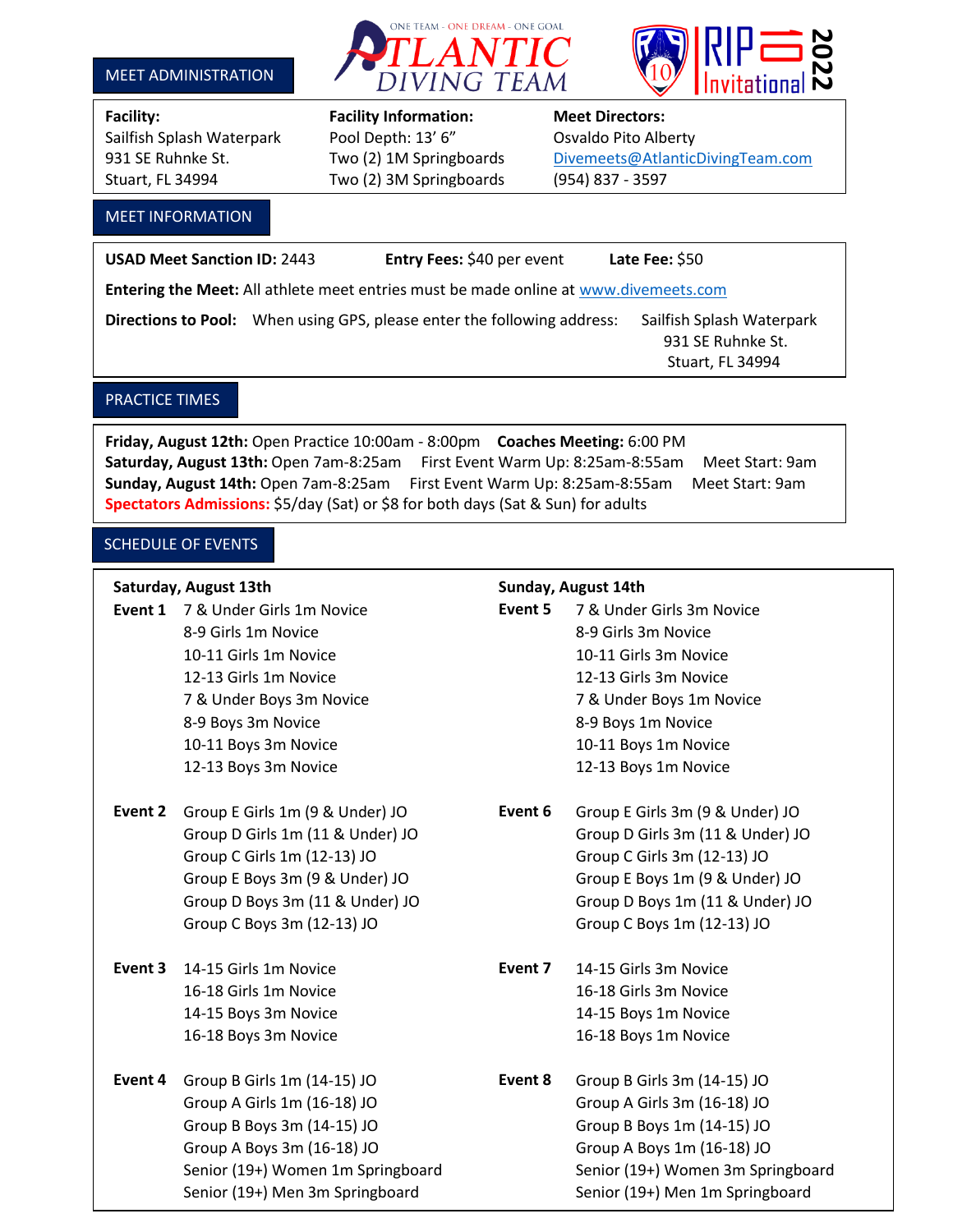#### MEET ADMINISTRATION





Sailfish Splash Waterpark Pool Depth: 13' 6" Osvaldo Pito Alberty Stuart, FL 34994 Two (2) 3M Springboards (954) 837 - 3597

# **Facility: Facility Information: Meet Directors:**

## 931 SE Ruhnke St. Two (2) 1M Springboards [Divemeets@AtlanticDivingTeam.com](mailto:Divemeets@AtlanticDivingTeam.com)

l

#### MEET INFORMATION

**USAD Meet Sanction ID:** 2443 **Entry Fees:** \$40 per event **Late Fee:** \$50 **Entering the Meet:** All athlete meet entries must be made online at [www.divemeets.com](http://www.divemeets.com/) Directions to Pool: When using GPS, please enter the following address: Sailfish Splash Waterpark 931 SE Ruhnke St. Stuart, FL 34994

### PRACTICE TIMES

**Friday, August 12th:** Open Practice 10:00am - 8:00pm **Coaches Meeting:** 6:00 PM Saturday, August 13th: Open 7am-8:25am First Event Warm Up: 8:25am-8:55am Meet Start: 9am **Sunday, August 14th:** Open 7am-8:25am First Event Warm Up: 8:25am-8:55am Meet Start: 9am **Spectators Admissions:** \$5/day (Sat) or \$8 for both days (Sat & Sun) for adults

#### SCHEDULE OF EVENTS

#### **Saturday, August 13th Sunday, August 14th**

- **Event 2** Group E Girls 1m (9 & Under) JO **Event 6** Group E Girls 3m (9 & Under) JO
- 
- **Event 4** Group B Girls 1m (14-15) JO **Event 8** Group B Girls 3m (14-15) JO

- **Event 1** 7 & Under Girls 1m Novice **Event 5** 7 & Under Girls 3m Novice 8-9 Girls 1m Novice **8-9 Girls 3m Novice** 10-11 Girls 1m Novice 10-11 Girls 3m Novice 12-13 Girls 1m Novice 12-13 Girls 3m Novice 7 & Under Boys 3m Novice 7 & Under Boys 1m Novice 8-9 Boys 3m Novice 8-9 Boys 1m Novice 10-11 Boys 3m Novice 10-11 Boys 1m Novice 12-13 Boys 3m Novice 12-13 Boys 1m Novice
	- Group D Girls 1m (11 & Under) JO Group D Girls 3m (11 & Under) JO Group C Girls 1m (12-13) JO Group C Girls 3m (12-13) JO Group E Boys 3m (9 & Under) JO Group E Boys 1m (9 & Under) JO Group D Boys 3m (11 & Under) JO Group D Boys 1m (11 & Under) JO Group C Boys 3m (12-13) JO Group C Boys 1m (12-13) JO
- **Event 3** 14-15 Girls 1m Novice **Event 7** 14-15 Girls 3m Novice 16-18 Girls 1m Novice 16-18 Girls 3m Novice 14-15 Boys 3m Novice 14-15 Boys 1m Novice 16-18 Boys 3m Novice 16-18 Boys 1m Novice
	- Group A Girls 1m (16-18) JO Group A Girls 3m (16-18) JO Group B Boys 3m (14-15) JO Group B Boys 1m (14-15) JO Group A Boys 3m (16-18) JO Group A Boys 1m (16-18) JO Senior (19+) Women 1m Springboard Senior (19+) Women 3m Springboard Senior (19+) Men 3m Springboard Senior (19+) Men 1m Springboard